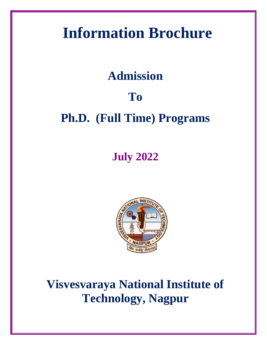# **Information Brochure**

# **Admission**

# **To**

# **Ph.D. (Full Time) Programs**

# **July 2022**



**Visvesvaraya National Institute of Technology, Nagpur**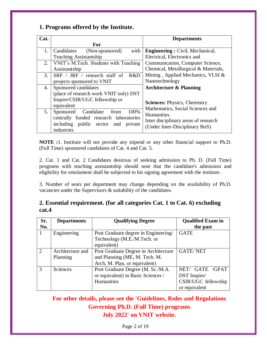## **1. Programs offered by the Institute.**

| Cat. |                                        | <b>Departments</b>                                                      |
|------|----------------------------------------|-------------------------------------------------------------------------|
|      | For                                    |                                                                         |
| 1.   | with<br>Candidates<br>(Non-sponsored)  | <b>Engineering:</b> Civil, Mechanical,                                  |
|      | <b>Teaching Assistantship</b>          | Electrical, Electronics and                                             |
| 2.   | VNIT's M.Tech. Students with Teaching  | Communication, Computer Science,                                        |
|      | Assistantship                          | Chemical, Metallurgical & Materials,                                    |
| 3.   | SRF / JRF / research staff of<br>R&D   | Mining, Applied Mechanics, VLSI &                                       |
|      | projects sponsored to VNIT             | Nanotechnology                                                          |
| 4.   | Sponsored candidates                   | <b>Architecture &amp; Planning</b>                                      |
|      | (place of research work VNIT only) DST |                                                                         |
|      | Inspire/CSIR/UGC fellowship or         |                                                                         |
|      | equivalent                             | <b>Sciences: Physics, Chemistry</b><br>Mathematics, Social Sciences and |
| 5.   | Candidate<br>100%<br>Sponsored<br>from | Humanities.                                                             |
|      | centrally funded research laboratories | Inter disciplinary areas of research                                    |
|      | including public sector and private    | (Under Inter-Disciplinary BoS)                                          |
|      | industries                             |                                                                         |

**NOTE :**1. Institute will not provide any stipend or any other financial support to Ph.D. (Full Time) sponsored candidates of Cat. 4 and Cat. 5.

2. Cat. 1 and Cat. 2 Candidates desirous of seeking admission to Ph. D. (Full Time) programs with teaching assistantship should note that the candidate's admission and eligibility for emolument shall be subjected to his signing agreement with the institute.

3. Number of seats per department may change depending on the availability of Ph.D. vacancies under the Supervisors & suitability of the candidates.

| Sr.           | <b>Departments</b> | <b>Qualifying Degree</b>             | <b>Qualified Exam in</b> |
|---------------|--------------------|--------------------------------------|--------------------------|
| No.           |                    |                                      | the past                 |
|               | Engineering        | Post Graduate degree in Engineering/ | <b>GATE</b>              |
|               |                    | Technology (M.E./M.Tech. or          |                          |
|               |                    | equivalent)                          |                          |
| $\mathcal{D}$ | Architecture and   | Post Graduate Degree in Architecture | <b>GATE/NET</b>          |
|               | Planning           | and Planning (ME, M. Tech. M.        |                          |
|               |                    | Arch, M. Plan. or equivalent)        |                          |
| $\mathcal{R}$ | <b>Sciences</b>    | Post Graduate Degree (M. Sc./M.A.    | NET/ GATE /GPAT          |
|               |                    | or equivalent) in Basic Sciences /   | DST Inspire/             |
|               |                    | Humanities                           | CSIR/UGC fellowship      |
|               |                    |                                      | or equivalent            |

### **2. Essential requirement. (for all categories Cat. 1 to Cat. 6) excluding cat.4**

**For other details, please see the 'Guidelines, Rules and Regulations Governing Ph.D. (Full Time) programs July 2022' on VNIT website.**

Page 2 of 19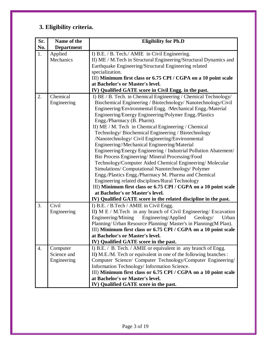# **3. Eligibility criteria.**

| Sr. | Name of the       | <b>Eligibility for Ph.D</b>                                       |
|-----|-------------------|-------------------------------------------------------------------|
| No. | <b>Department</b> |                                                                   |
| 1.  | Applied           | I) B.E. / B. Tech./ AMIE in Civil Engineering.                    |
|     | Mechanics         | II) ME / M.Tech in Structural Engineering/Structural Dynamics and |
|     |                   | Earthquake Engineering/Structural Engineering related             |
|     |                   | specialization.                                                   |
|     |                   | III) Minimum first class or 6.75 CPI / CGPA on a 10 point scale   |
|     |                   | at Bachelor's or Master's level.                                  |
|     |                   | IV) Qualified GATE score in Civil Engg. in the past.              |
| 2.  | Chemical          | I) BE / B. Tech. in Chemical Engineering / Chemical Technology/   |
|     | Engineering       | Biochemical Engineering / Biotechnology/ Nanotechnology/Civil     |
|     |                   | Engineering/Environmental Engg. /Mechanical Engg./Material        |
|     |                   | Engineering/Energy Engineering/Polymer Engg./Plastics             |
|     |                   | Engg./Pharmacy (B. Pharm).                                        |
|     |                   | II) ME / M. Tech in Chemical Engineering / Chemical               |
|     |                   | Technology/Biochemical Engineering / Biotechnology                |
|     |                   | /Nanotechnology/ Civil Engineering/Environmental                  |
|     |                   | Engineering//Mechanical Engineering/Material                      |
|     |                   | Engineering/Energy Engineering / Industrial Pollution Abatement/  |
|     |                   | Bio Process Engineering/Mineral Processing/Food                   |
|     |                   | Technology/Computer Aided Chemical Engineering/Molecular          |
|     |                   | Simulations/ Computational Nanotechnology/ Polymer                |
|     |                   | Engg./Plastics Engg./Pharmacy M. Pharma and Chemical              |
|     |                   | Engineering related disciplines/Rural Technology                  |
|     |                   | III) Minimum first class or 6.75 CPI / CGPA on a 10 point scale   |
|     |                   | at Bachelor's or Master's level.                                  |
|     |                   | IV) Qualified GATE score in the related discipline in the past.   |
| 3.  | Civil             | I) B.E. / B.Tech / AMIE in Civil Engg.                            |
|     | Engineering       | II) M E / M.Tech in any branch of Civil Engineering/ Excavation   |
|     |                   | Engineering/Mining<br>Engineering/Applied<br>Geology/<br>Urban    |
|     |                   | Planning/ Urban Resource Planning/ Master's in Planning(M Plan).  |
|     |                   | III) Minimum first class or 6.75 CPI / CGPA on a 10 point scale   |
|     |                   | at Bachelor's or Master's level.                                  |
|     |                   | IV) Qualified GATE score in the past.                             |
| 4.  | Computer          | I) B.E. / B. Tech. / AMIE or equivalent in any branch of Engg.    |
|     | Science and       | II) M.E./M. Tech or equivalent in one of the following branches : |
|     | Engineering       | Computer Science/ Computer Technology/Computer Engineering/       |
|     |                   | Information Technology/Information Science.                       |
|     |                   | III) Minimum first class or 6.75 CPI / CGPA on a 10 point scale   |
|     |                   | at Bachelor's or Master's level.                                  |
|     |                   | IV) Qualified GATE score in the past.                             |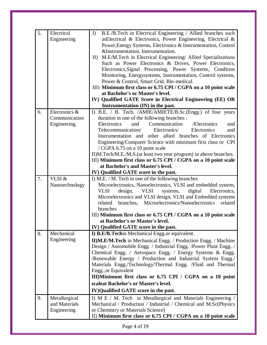| 5. | Electrical<br>Engineering | B.E./B.Tech in Electrical Engineering / Allied branches such<br>I)<br>asElectrical & Electronics, Power Engineering, Electrical &<br>Power, Energy Systems, Electronics & Instrumentation, Control<br>&Instrumentation, Instrumentation.<br>M.E/M.Tech in Electrical Engineering/ Allied Specializations<br>II)<br>Such as Power Electronics & Drives, Power Electronics,<br>Electronics, Signal Processing, Power Systems, Condition<br>Monitoring, Energysystems, Instrumentation, Control systems, |
|----|---------------------------|-------------------------------------------------------------------------------------------------------------------------------------------------------------------------------------------------------------------------------------------------------------------------------------------------------------------------------------------------------------------------------------------------------------------------------------------------------------------------------------------------------|
|    |                           | Power & Control, Smart Grid, Bio-medical.                                                                                                                                                                                                                                                                                                                                                                                                                                                             |
|    |                           | III) Minimum first class or 6.75 CPI / CGPA on a 10 point scale                                                                                                                                                                                                                                                                                                                                                                                                                                       |
|    |                           | at Bachelor's or Master's level.<br>IV) Qualified GATE Score in Electrical Engineering (EE) OR                                                                                                                                                                                                                                                                                                                                                                                                        |
|    |                           | Instrumentation (IN) in the past.                                                                                                                                                                                                                                                                                                                                                                                                                                                                     |
| 6. | Electronics &             | I) B.E. / B. Tech. /AMIE/AMIETE/B.Sc.(Engg.) of four years                                                                                                                                                                                                                                                                                                                                                                                                                                            |
|    | Communication             | duration in one of the following branches :                                                                                                                                                                                                                                                                                                                                                                                                                                                           |
|    | Engineering               | Electronics<br>Communication<br>/Electronics<br>and<br>and<br>Telecommunication/<br>Electronics/<br>Electronics<br>and                                                                                                                                                                                                                                                                                                                                                                                |
|    |                           | Instrumentation and other allied branches of Electronics                                                                                                                                                                                                                                                                                                                                                                                                                                              |
|    |                           | Engineering/Computer Science with minimum first class or CPI                                                                                                                                                                                                                                                                                                                                                                                                                                          |
|    |                           | / CGPA 6.75 on a 10 point scale                                                                                                                                                                                                                                                                                                                                                                                                                                                                       |
|    |                           | II)M.Tech/M.E./M.S.(at least two year program) in above branches.                                                                                                                                                                                                                                                                                                                                                                                                                                     |
|    |                           | III) Minimum first class or 6.75 CPI / CGPA on a 10 point scale<br>at Bachelor's and Master's level.                                                                                                                                                                                                                                                                                                                                                                                                  |
|    |                           | IV) Qualified GATE score in the past.                                                                                                                                                                                                                                                                                                                                                                                                                                                                 |
| 7. | VLSI &                    | I) M.E. / M. Tech in one of the following branches                                                                                                                                                                                                                                                                                                                                                                                                                                                    |
|    | Nanotechnology            | Microelectronics, Nanoelectronics, VLSI and embedded system,                                                                                                                                                                                                                                                                                                                                                                                                                                          |
|    |                           | <b>VLSI</b><br><b>VLSI</b><br>design,<br>digital<br>Electronics,<br>systems,                                                                                                                                                                                                                                                                                                                                                                                                                          |
|    |                           | Microelectronics and VLSI design, VLSI and Embedded systems<br>Microelectronics/Nanoelectronics related<br>related<br>branches,                                                                                                                                                                                                                                                                                                                                                                       |
|    |                           | branches                                                                                                                                                                                                                                                                                                                                                                                                                                                                                              |
|    |                           | III) Minimum first class or 6.75 CPI / CGPA on a 10 point scale                                                                                                                                                                                                                                                                                                                                                                                                                                       |
|    |                           | at Bachelor's or Master's level.                                                                                                                                                                                                                                                                                                                                                                                                                                                                      |
|    |                           | IV) Qualified GATE score in the past.                                                                                                                                                                                                                                                                                                                                                                                                                                                                 |
| 8. | Mechanical<br>Engineering | I) B.E/B.Techin Mechanical Engg.or equivalent.                                                                                                                                                                                                                                                                                                                                                                                                                                                        |
|    |                           | <b>II)M.E/M.Tech</b> in Mechanical Engg. / Production Engg. / Machine<br>Design / Automobile Engg. / Industrial Engg. / Power Plant Engg. /                                                                                                                                                                                                                                                                                                                                                           |
|    |                           | Chemical Engg. / Aerospace Engg. / Energy Systems & Engg.                                                                                                                                                                                                                                                                                                                                                                                                                                             |
|    |                           | /Renewable Energy / Production and Industrial System Engg./                                                                                                                                                                                                                                                                                                                                                                                                                                           |
|    |                           | Materials Engg./Technology/Thermal Engg. /Fluid and Thermal                                                                                                                                                                                                                                                                                                                                                                                                                                           |
|    |                           | Engg., or Equivalent                                                                                                                                                                                                                                                                                                                                                                                                                                                                                  |
|    |                           | III)Minimum first class or 6.75 CPI / CGPA on a 10 point<br>scaleat Bachelor's or Master's level.                                                                                                                                                                                                                                                                                                                                                                                                     |
|    |                           | IV) Qualified GATE score in the past.                                                                                                                                                                                                                                                                                                                                                                                                                                                                 |
| 9. | Metallurgical             | I) M E / M. Tech in Metallurgical and Materials Engineering /                                                                                                                                                                                                                                                                                                                                                                                                                                         |
|    | and Materials             | Mechanical / Production / Industrial / Chemical and M.Sc(Physics                                                                                                                                                                                                                                                                                                                                                                                                                                      |
|    | Engineering               | or Chemistry or Materials Science)                                                                                                                                                                                                                                                                                                                                                                                                                                                                    |
|    |                           | II) Minimum first class or 6.75 CPI / CGPA on a 10 point scale                                                                                                                                                                                                                                                                                                                                                                                                                                        |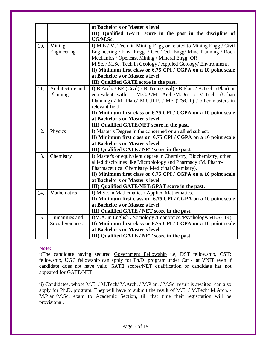|     |                        | at Bachelor's or Master's level.                                        |
|-----|------------------------|-------------------------------------------------------------------------|
|     |                        | III) Qualified GATE score in the past in the discipline of              |
|     |                        | UG/M.Sc.                                                                |
| 10. | Mining                 | I) M E / M. Tech in Mining Engg or related to Mining Engg / Civil       |
|     | Engineering            | Engineering / Env. Engg. / Geo-Tech Engg/ Mine Planning / Rock          |
|     |                        | Mechanics / Opencast Mining / Mineral Engg. OR                          |
|     |                        | M.Sc. / M.Sc. Tech in Geology / Applied Geology/ Environment.           |
|     |                        | II) Minimum first class or 6.75 CPI / CGPA on a 10 point scale          |
|     |                        | at Bachelor's or Master's level.                                        |
|     |                        | III) Qualified GATE score in the past.                                  |
| 11. | Architecture and       | I) B.Arch. / BE (Civil) / B.Tech. (Civil) / B.Plan. / B.Tech. (Plan) or |
|     | Planning               | M.C.P./M. Arch./M.Des. / M.Tech. (Urban<br>equivalent with              |
|     |                        | Planning) / M. Plan./ M.U.R.P. / ME (T&C.P) / other masters in          |
|     |                        | relevant field.                                                         |
|     |                        | II) Minimum first class or 6.75 CPI / CGPA on a 10 point scale          |
|     |                        | at Bachelor's or Master's level.                                        |
|     |                        | III) Qualified GATE/NET score in the past.                              |
| 12. | Physics                | I) Master's Degree in the concerned or an allied subject.               |
|     |                        | II) Minimum first class or 6.75 CPI / CGPA on a 10 point scale          |
|     |                        | at Bachelor's or Master's level.                                        |
|     |                        |                                                                         |
|     |                        | III) Qualified GATE / NET score in the past.                            |
| 13. | Chemistry              | I) Master's or equivalent degree in Chemistry, Biochemistry, other      |
|     |                        | allied disciplines like Microbiology and Pharmacy (M. Pharm-            |
|     |                        | Pharmaceutical Chemistry/ Medicinal Chemistry).                         |
|     |                        | II) Minimum first class or 6.75 CPI / CGPA on a 10 point scale          |
|     |                        | at Bachelor's or Master's level.                                        |
|     |                        | III) Qualified GATE/NET/GPAT score in the past.                         |
| 14. | Mathematics            | I) M.Sc. in Mathematics / Applied Mathematics.                          |
|     |                        | II) Minimum first class or 6.75 CPI / CGPA on a 10 point scale          |
|     |                        | at Bachelor's or Master's level.                                        |
|     |                        | III) Qualified GATE / NET score in the past.                            |
| 15. | Humanities and         | I)M.A. in English / Sociology / Economics./Psychology/MBA-HR)           |
|     | <b>Social Sciences</b> | II) Minimum first class or 6.75 CPI / CGPA on a 10 point scale          |
|     |                        | at Bachelor's or Master's level.                                        |
|     |                        | III) Qualified GATE / NET score in the past.                            |

#### **Note:**

i)The candidate having secured Government Fellowship i.e, DST fellowship, CSIR fellowship, UGC fellowship can apply for Ph.D. program under Cat 4 at VNIT even if candidate does not have valid GATE scores/NET qualification or candidate has not appeared for GATE/NET.

ii) Candidates, whose M.E. / M.Tech/ M.Arch. / M.Plan. / M.Sc. result is awaited, can also apply for Ph.D. program. They will have to submit the result of M.E. / M.Tech/ M.Arch. / M.Plan./M.Sc. exam to Academic Section, till that time their registration will be provisional.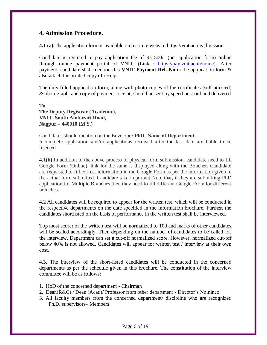## **4. Admission Procedure.**

**4.1 (a).**The application form is available on institute website https://vnit.ac.in/admission.

Candidate is required to pay application fee of Rs 500/- (per application form) online through online payment portal of VNIT. (Link : [https://pay.vnit.ac.in/home\)](https://pay.vnit.ac.in/home). After payment, candidate shall mention this **VNIT Payment Ref. No** in the application form & also attach the printed copy of receipt.

The duly filled application form, along with photo copies of the certificates (self-attested) & photograph, and copy of payment receipt, should be sent by speed post or hand delivered

**To, The Deputy Registrar (Academic), VNIT, South Ambazari Road, Nagpur – 440010 (M.S.)**

Candidates should mention on the Envelope**: PhD- Name of Department.** Incomplete application and/or applications received after the last date are liable to be rejected.

**4.1(b)** In addition to the above process of physical form submission, candidate need to fill Google Form (Online), link for the same is displayed along with the Boucher. Candidate are requested to fill correct information in the Google Form as per the information given in the actual form submitted. Candidate take important Note that, if they are submitting PhD application for Multiple Branches then they need to fill different Google Form for different branches**.**

**4.2** All candidates will be required to appear for the written test, which will be conducted in the respective departments on the date specified in the information brochure. Further, the candidates shortlisted on the basis of performance in the written test shall be interviewed.

Top most scorer of the written test will be normalized to 100 and marks of other candidates will be scaled accordingly. Then depending on the number of candidates to be called for the interview, Department can set a cut-off normalized score. However, normalized cut-off below 40% is not allowed. Candidates will appear for written test / interview at their own cost.

**4.3**. The interview of the short-listed candidates will be conducted in the concerned departments as per the schedule given in this brochure. The constitution of the interview committee will be as follows:

- 1. HoD of the concerned department Chairman
- 2. Dean(R&C) / Dean (Acad)/ Professor from other department Director's Nominee
- 3. All faculty members from the concerned department/ discipline who are recognized Ph.D. supervisors– Members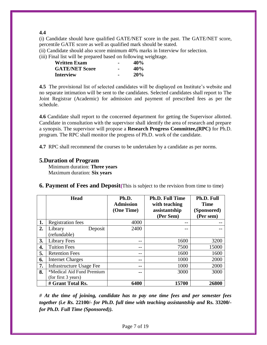**4.4** 

(i) Candidate should have qualified GATE/NET score in the past. The GATE/NET score, percentile GATE score as well as qualified mark should be stated.

(ii) Candidate should also score minimum 40% marks in Interview for selection.

(iii) Final list will be prepared based on following weightage.

| <b>Written Exam</b>   | 40\% |
|-----------------------|------|
| <b>GATE/NET Score</b> | 40\% |
| <b>Interview</b>      | 20%  |

**4.5** The provisional list of selected candidates will be displayed on Institute's website and no separate intimation will be sent to the candidates. Selected candidates shall report to The Joint Registrar (Academic) for admission and payment of prescribed fees as per the schedule.

**4.6** Candidate shall report to the concerned department for getting the Supervisor allotted. Candidate in consultation with the supervisor shall identify the area of research and prepare a synopsis. The supervisor will propose a **Research Progress Committee,(RPC)** for Ph.D. program. The RPC shall monitor the progress of Ph.D. work of the candidate.

**4.7** RPC shall recommend the courses to be undertaken by a candidate as per norms.

### **5.Duration of Program**

 Minimum duration: **Three years** Maximum duration: **Six years**

|    | <b>Head</b>               | Ph.D.<br><b>Admission</b><br>(One Time) | <b>Ph.D. Full Time</b><br>with teaching<br>assistantship<br>(Per Sem) | Ph.D. Full<br><b>Time</b><br>(Sponsored)<br>(Per sem) |
|----|---------------------------|-----------------------------------------|-----------------------------------------------------------------------|-------------------------------------------------------|
| 1. | <b>Registration</b> fees  | 4000                                    |                                                                       |                                                       |
| 2. | Library<br>Deposit        | 2400                                    |                                                                       |                                                       |
|    | (refundable)              |                                         |                                                                       |                                                       |
| 3. | <b>Library Fees</b>       |                                         | 1600                                                                  | 3200                                                  |
| 4. | <b>Tuition Fees</b>       | $ -$                                    | 7500                                                                  | 15000                                                 |
| 5. | <b>Retention Fees</b>     | $- -$                                   | 1600                                                                  | 1600                                                  |
| 6. | <b>Internet Charges</b>   | --                                      | 1000                                                                  | 2000                                                  |
| 7. | Infrastructure Usage Fee  | --                                      | 1000                                                                  | 2000                                                  |
| 8. | *Medical Aid Fund Premium | --                                      | 3000                                                                  | 3000                                                  |
|    | (for first 3 years)       |                                         |                                                                       |                                                       |
|    | # Grant Total Rs.         | 6400                                    | 15700                                                                 | 26800                                                 |

**6. Payment of Fees and Deposit**(This is subject to the revision from time to time)

*# At the time of joining, candidate has to pay one time fees and per semester fees together (i.e Rs.* **22100/-** *for Ph.D. full time with teaching assistantship and* **Rs. 33200/** *for Ph.D. Full Time (Sponsored)).*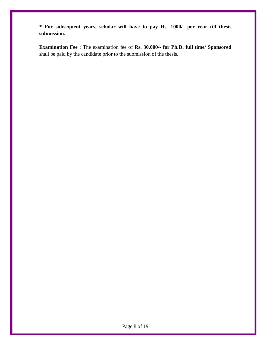**\* For subsequent years, scholar will have to pay Rs. 1000/- per year till thesis submission.**

**Examination Fee :** The examination fee of **Rs. 30,000/- for Ph.D. full time/ Sponsored**  shall be paid by the candidate prior to the submission of the thesis.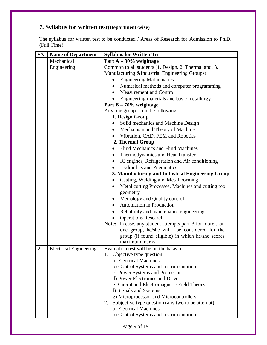# **7. Syllabus for written test(Department-wise)**

The syllabus for written test to be conducted / Areas of Research for Admission to Ph.D. (Full Time).

| <b>SN</b> | <b>Name of Department</b>     | <b>Syllabus for Written Test</b>                                                 |  |  |
|-----------|-------------------------------|----------------------------------------------------------------------------------|--|--|
| 1.        | Mechanical                    | Part $A - 30\%$ weightage                                                        |  |  |
|           | Engineering                   | Common to all students (1. Design, 2. Thermal and, 3.                            |  |  |
|           |                               | Manufacturing &Industrial Engineering Groups)                                    |  |  |
|           |                               | <b>Engineering Mathematics</b>                                                   |  |  |
|           |                               | Numerical methods and computer programming<br>$\bullet$                          |  |  |
|           |                               | Measurement and Control                                                          |  |  |
|           |                               | Engineering materials and basic metallurgy                                       |  |  |
|           |                               | Part $B - 70\%$ weightage                                                        |  |  |
|           |                               | Any one group from the following                                                 |  |  |
|           |                               | 1. Design Group                                                                  |  |  |
|           |                               | Solid mechanics and Machine Design<br>$\bullet$                                  |  |  |
|           |                               | Mechanism and Theory of Machine<br>$\bullet$                                     |  |  |
|           |                               | Vibration, CAD, FEM and Robotics                                                 |  |  |
|           |                               | 2. Thermal Group                                                                 |  |  |
|           |                               | <b>Fluid Mechanics and Fluid Machines</b><br>$\bullet$                           |  |  |
|           |                               | Thermodynamics and Heat Transfer<br>$\bullet$                                    |  |  |
|           |                               | IC engines, Refrigeration and Air conditioning<br>$\bullet$                      |  |  |
|           |                               | <b>Hydraulics and Pneumatics</b>                                                 |  |  |
|           |                               | 3. Manufacturing and Industrial Engineering Group                                |  |  |
|           |                               | Casting, Welding and Metal Forming<br>٠                                          |  |  |
|           |                               | Metal cutting Processes, Machines and cutting tool                               |  |  |
|           |                               | geometry                                                                         |  |  |
|           |                               | Metrology and Quality control                                                    |  |  |
|           |                               | <b>Automation in Production</b>                                                  |  |  |
|           |                               | Reliability and maintenance engineering<br>$\bullet$                             |  |  |
|           |                               | <b>Operations Research</b>                                                       |  |  |
|           |                               | <b>Note:</b> In case, any student attempts part B for more than                  |  |  |
|           |                               | one group, he/she will be considered for the                                     |  |  |
|           |                               | group (if found eligible) in which he/she scores                                 |  |  |
|           |                               | maximum marks.                                                                   |  |  |
| 2.        | <b>Electrical Engineering</b> | Evaluation test will be on the basis of:                                         |  |  |
|           |                               | Objective type question<br>1.                                                    |  |  |
|           |                               | a) Electrical Machines                                                           |  |  |
|           |                               | b) Control Systems and Instrumentation                                           |  |  |
|           |                               | c) Power Systems and Protections                                                 |  |  |
|           |                               | d) Power Electronics and Drives                                                  |  |  |
|           |                               | e) Circuit and Electromagnetic Field Theory                                      |  |  |
|           |                               | f) Signals and Systems                                                           |  |  |
|           |                               | g) Microprocessor and Microcontrollers                                           |  |  |
|           |                               | Subjective type question (any two to be attempt)<br>2.<br>a) Electrical Machines |  |  |
|           |                               |                                                                                  |  |  |
|           |                               | b) Control Systems and Instrumentation                                           |  |  |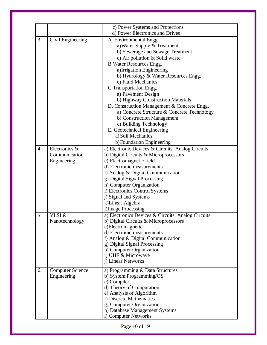|    |                         | c) Power Systems and Protections                   |
|----|-------------------------|----------------------------------------------------|
|    |                         | d) Power Electronics and Drives                    |
| 3. | Civil Engineering       | A. Environmental Engg                              |
|    |                         | a) Water Supply & Treatment                        |
|    |                         | b) Sewerage and Sewage Treatment                   |
|    |                         | c) Air pollution & Solid waste                     |
|    |                         | <b>B. Water Resources Engg.</b>                    |
|    |                         | a) Irrigation Engineering                          |
|    |                         | b) Hydrology & Water Resources Engg.               |
|    |                         | c) Fluid Mechanics                                 |
|    |                         | C. Transportation Engg.                            |
|    |                         | a) Pavement Design                                 |
|    |                         | b) Highway Construction Materials                  |
|    |                         | D. Construction Management & Concrete Engg.        |
|    |                         | a) Concrete Structure & Concrete Technology        |
|    |                         | b) Construction Management                         |
|    |                         | c) Building Technology                             |
|    |                         | E. Geotechnical Engineering                        |
|    |                         | a) Soil Mechanics                                  |
|    |                         | b) Foundation Engineering                          |
| 4. | Electronics &           | a) Electronic Devices & Circuits, Analog Circuits  |
|    | Communication           | b) Digital Circuits & Microprocessors              |
|    | Engineering             | c) Electromagnetic field                           |
|    |                         | d) Electronic measurements                         |
|    |                         | f) Analog & Digital Communication                  |
|    |                         | g) Digital Signal Processing                       |
|    |                         | h) Computer Organization                           |
|    |                         | i) Electronics Control Systems                     |
|    |                         | j) Signal and Systems                              |
|    |                         | k)Linear Algebra                                   |
|    |                         | 1) Image Processing                                |
| 5  | VLSI &                  | a) Electronics Devices & Circuits, Analog Circuits |
|    | Nanotechnology          | b) Digital Circuits & Microprocessors              |
|    |                         | c)Electromagnetic                                  |
|    |                         | d) Electronic measurements                         |
|    |                         | f) Analog & Digital Communication                  |
|    |                         | g) Digital Signal Processing                       |
|    |                         | h) Computer Organization                           |
|    |                         | i) UHF & Microwave                                 |
|    |                         | j) Linear Networks                                 |
| 6. | <b>Computer Science</b> | a) Programming $& Data Structures$                 |
|    | Engineering             | b) System Programming/OS                           |
|    |                         | c) Compiler                                        |
|    |                         | d) Theory of Computation                           |
|    |                         | e) Analysis of Algorithm                           |
|    |                         | f) Discrete Mathematics                            |
|    |                         | g) Computer Organization                           |
|    |                         | h) Database Management Systems                     |
|    |                         | i) Computer Networks                               |

Page 10 of 19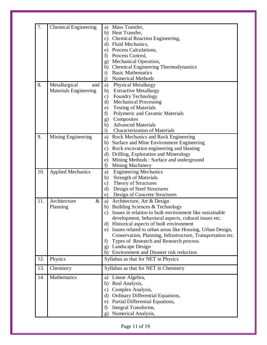| 7.  | <b>Chemical Engineering</b>  | Mass Transfer,<br>a)                                                                                            |
|-----|------------------------------|-----------------------------------------------------------------------------------------------------------------|
|     |                              | b) Heat Transfer,                                                                                               |
|     |                              | Chemical Reaction Engineering,<br>$\mathbf{c})$                                                                 |
|     |                              | Fluid Mechanics,<br>$\mathbf{d}$                                                                                |
|     |                              | e) Process Calculations,                                                                                        |
|     |                              | Process Control,<br>f                                                                                           |
|     |                              | <b>Mechanical Operation,</b><br>g)                                                                              |
|     |                              | <b>Chemical Engineering Thermodynamics</b><br>h)<br><b>Basic Mathematics</b><br>$\mathbf{i}$                    |
|     |                              | <b>Numerical Methods</b><br>$\ddot{1}$                                                                          |
| 8.  | Metallurgical<br>and         | <b>Physical Metallurgy</b><br>a)                                                                                |
|     | <b>Materials Engineering</b> | <b>Extractive Metallurgy</b><br>b)                                                                              |
|     |                              | Foundry Technology<br>$\mathbf{c})$                                                                             |
|     |                              | $\mathbf{d}$<br><b>Mechanical Processing</b>                                                                    |
|     |                              | <b>Testing of Materials</b><br>e)                                                                               |
|     |                              | f)<br>Polymeric and Ceramic Materials                                                                           |
|     |                              | Composites<br>g)                                                                                                |
|     |                              | <b>Advanced Materials</b><br>h)                                                                                 |
|     |                              | <b>Characterization of Materials</b><br>i)                                                                      |
| 9.  | Mining Engineering           | Rock Mechanics and Rock Engineering<br>a)                                                                       |
|     |                              | Surface and Mine Environment Engineering<br>b)                                                                  |
|     |                              | Rock excavation engineering and blasting<br>$\mathbf{c})$                                                       |
|     |                              | Drilling, Exploration and Mineralogy<br>$\mathbf{d}$                                                            |
|     |                              | Mining Methods: Surface and underground<br>e)                                                                   |
|     |                              | <b>Mining Machinery</b><br>f)                                                                                   |
| 10. | <b>Applied Mechanics</b>     | <b>Engineering Mechanics</b><br>a)                                                                              |
|     |                              | <b>Strength of Materials</b><br>b)                                                                              |
|     |                              | Theory of Structures<br>$\mathbf{c})$                                                                           |
|     |                              | Design of Steel Structures<br>$\rm d)$                                                                          |
|     |                              | Design of Concrete Structures<br>e)                                                                             |
| 11. | Architecture<br>&            | Architecture, Art & Design<br>a)                                                                                |
|     | Planning                     | Building Sciences & Technology<br>b)                                                                            |
|     |                              | Issues in relation to built environment like sustainable<br>c)                                                  |
|     |                              | development, behavioral aspects, cultural issues etc.                                                           |
|     |                              | Historical aspects of built environment<br>$\rm d$<br>Issues related to urban areas like Housing, Urban Design, |
|     |                              | e)<br>Conservation, Planning, Infrastructure, Transportation etc.                                               |
|     |                              | Types of Research and Research process.<br>f)                                                                   |
|     |                              | Landscape Design<br>g)                                                                                          |
|     |                              | Environment and Disaster risk reduction<br>h)                                                                   |
| 12. | Physics                      | Syllabus as that for NET in Physics                                                                             |
| 13. | Chemistry                    | Syllabus as that for NET in Chemistry                                                                           |
| 14. | Mathematics                  | Linear Algebra,<br>a)                                                                                           |
|     |                              | Real Analysis,<br>b)                                                                                            |
|     |                              | Complex Analysis,<br>$\mathbf{c})$                                                                              |
|     |                              | Ordinary Differential Equations,<br>d)                                                                          |
|     |                              |                                                                                                                 |
|     |                              | Partial Differential Equations,<br>e)                                                                           |
|     |                              | Integral Transforms,<br>f)                                                                                      |
|     |                              | Numerical Analysis,<br>$\mathbf{g}$ )                                                                           |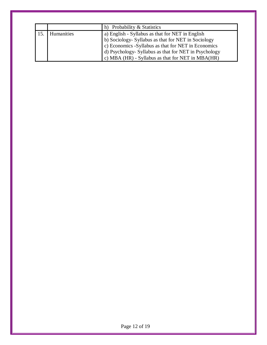|                   | Probability & Statistics<br>h)                                                                                                                                                                                          |
|-------------------|-------------------------------------------------------------------------------------------------------------------------------------------------------------------------------------------------------------------------|
| <b>Humanities</b> | a) English - Syllabus as that for NET in English<br>b) Sociology- Syllabus as that for NET in Sociology<br>c) Economics -Syllabus as that for NET in Economics<br>d) Psychology- Syllabus as that for NET in Psychology |
|                   | c) MBA (HR) - Syllabus as that for NET in MBA(HR)                                                                                                                                                                       |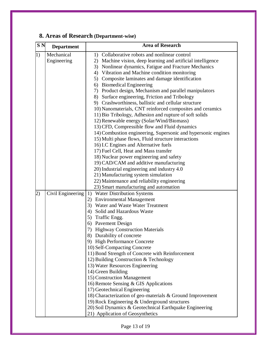### **S N Department Area of Research** 1) Mechanical Engineering 1) Collaborative robots and nonlinear control 2) Machine vision, deep learning and artificial intelligence 3) Nonlinear dynamics, Fatigue and Fracture Mechanics 4) Vibration and Machine condition monitoring 5) Composite laminates and damage identification 6) Biomedical Engineering 7) Product design, Mechanism and parallel manipulators 8) Surface engineering, Friction and Tribology 9) Crashworthiness, ballistic and cellular structure 10) Nanomaterials, CNT reinforced composites and ceramics 11) Bio Tribology, Adhesion and rupture of soft solids 12) Renewable energy (Solar/Wind/Biomass) 13) CFD, Compressible flow and Fluid dynamics 14) Combustion engineering, Supersonic and hypersonic engines 15) Multi phase flows, Fluid structure interactions 16) I.C Engines and Alternative fuels 17) Fuel Cell, Heat and Mass transfer 18) Nuclear power engineering and safety 19) CAD/CAM and additive manufacturing 20) Industrial engineering and industry 4.0 21) Manufacturing system simulation 22) Maintenance and reliability engineering 23) Smart manufacturing and automation 2) Civil Engineering 1) Water Distribution Systems 2) Environmental Management 3) Water and Waste Water Treatment 4) Solid and Hazardous Waste 5) Traffic Engg. 6) Pavement Design 7) Highway Construction Materials 8) Durability of concrete 9) High Performance Concrete 10) Self-Compacting Concrete 11) Bond Strength of Concrete with Reinforcement 12) Building Construction & Technology 13) Water Resources Engineering 14) Green Building 15) Construction Management 16) Remote Sensing & GIS Applications 17) Geotechnical Engineering 18) Characterization of geo-materials & Ground Improvement 19) Rock Engineering & Underground structures 20) Soil Dynamics & Geotechnical Earthquake Engineering 21) Application of Geosynthetics

### **8. Areas of Research (Department-wise)**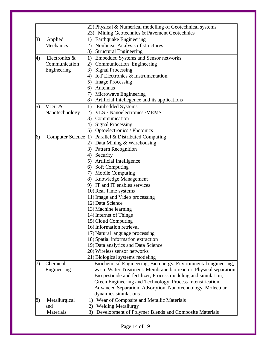|    |                         | 22) Physical & Numerical modelling of Geotechnical systems        |
|----|-------------------------|-------------------------------------------------------------------|
|    |                         | 23) Mining Geotechnics & Pavement Geotechnics                     |
| 3) | Applied                 | <b>Earthquake Engineering</b><br>1)                               |
|    | <b>Mechanics</b>        | Nonlinear Analysis of structures<br>2)                            |
|    |                         | <b>Structural Engineering</b><br>3)                               |
| 4) | Electronics &           | <b>Embedded Systems and Sensor networks</b><br>1)                 |
|    | Communication           | Communication Engineering<br>2)                                   |
|    | Engineering             | <b>Signal Processing</b><br>3)                                    |
|    |                         | 4) IoT Electronics & Instrumentation.                             |
|    |                         | 5)<br><b>Image Processing</b>                                     |
|    |                         | 6) Antennas                                                       |
|    |                         | Microwave Engineering<br>7)                                       |
|    |                         | 8)<br>Artificial Intellegence and its applications                |
| 5) | VLSI &                  | <b>Embedded Systems</b><br>1)                                     |
|    |                         | <b>VLSI/ Nanoelectronics /MEMS</b>                                |
|    | Nanotechnology          | 2)                                                                |
|    |                         | Communication<br>3)                                               |
|    |                         | 4) Signal Processing                                              |
|    |                         | 5) Optoelectronics / Photonics                                    |
| 6) | <b>Computer Science</b> | 1) Parallel & Distributed Computing                               |
|    |                         | 2) Data Mining & Warehousing                                      |
|    |                         | 3) Pattern Recognition                                            |
|    |                         | 4) Security                                                       |
|    |                         | 5) Artificial Intelligence                                        |
|    |                         | 6) Soft Computing                                                 |
|    |                         | 7) Mobile Computing                                               |
|    |                         | 8) Knowledge Management                                           |
|    |                         | 9) IT and IT enables services                                     |
|    |                         | 10) Real Time systems                                             |
|    |                         | 11) Image and Video processing                                    |
|    |                         | 12) Data Science                                                  |
|    |                         | 13) Machine learning                                              |
|    |                         | 14) Internet of Things                                            |
|    |                         | 15) Cloud Computing                                               |
|    |                         | 16) Information retrieval                                         |
|    |                         | 17) Natural language processing                                   |
|    |                         | 18) Spatial information extraction                                |
|    |                         | 19) Data analytics and Data Science                               |
|    |                         | 20) Wireless sensor networks                                      |
|    |                         | 21) Biological systems modeling                                   |
| 7) | Chemical                | Biochemical Engineering, Bio energy, Environmental engineering,   |
|    | Engineering             | waste Water Treatment, Membrane bio reactor, Physical separation, |
|    |                         | Bio pesticide and fertilizer, Process modeling and simulation,    |
|    |                         | Green Engineering and Technology, Process Intensification,        |
|    |                         |                                                                   |
|    |                         | Advanced Separation, Adsorption, Nanotechnology. Molecular        |
|    |                         | dynamics simulations.                                             |
| 8) | Metallurgical           | Wear of Composite and Metallic Materials<br>1)                    |
|    | and                     | <b>Welding Metallurgy</b><br>2)                                   |
|    | Materials               | Development of Polymer Blends and Composite Materials<br>3)       |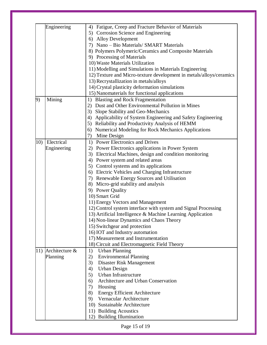|     | Engineering               | 4) Fatigue, Creep and Fracture Behavior of Materials                |  |  |  |
|-----|---------------------------|---------------------------------------------------------------------|--|--|--|
|     |                           | 5) Corrosion Science and Engineering                                |  |  |  |
|     |                           | <b>Alloy Development</b><br>6)                                      |  |  |  |
|     |                           | 7) Nano – Bio Materials/ SMART Materials                            |  |  |  |
|     |                           | 8) Polymers Polymeric/Ceramics and Composite Materials              |  |  |  |
|     |                           | 9) Processing of Materials                                          |  |  |  |
|     |                           | 10) Waste Materials Utilization                                     |  |  |  |
|     |                           | 11) Modelling and Simulations in Materials Engineering              |  |  |  |
|     |                           | 12) Texture and Micro-texture development in metals/alloys/ceramics |  |  |  |
|     |                           | 13) Recrystallization in metals/alloys                              |  |  |  |
|     |                           | 14) Crystal plasticity deformation simulations                      |  |  |  |
|     |                           | 15) Nanomaterials for functional applications                       |  |  |  |
|     |                           |                                                                     |  |  |  |
| 9)  | Mining                    | <b>Blasting and Rock Fragmentation</b><br>1)                        |  |  |  |
|     |                           | Dust and Other Environmental Pollution in Mines<br>2)               |  |  |  |
|     |                           | Slope Stability and Geo-Mechanics<br>3)                             |  |  |  |
|     |                           | Applicability of System Engineering and Safety Engineering<br>4)    |  |  |  |
|     |                           | 5) Reliability and Productivity Analysis of HEMM                    |  |  |  |
|     |                           | <b>Numerical Modeling for Rock Mechanics Applications</b><br>6)     |  |  |  |
|     |                           | Mine Design<br>7)                                                   |  |  |  |
| 10) | Electrical                | <b>Power Electronics and Drives</b><br>1)                           |  |  |  |
|     | Engineering               | 2) Power Electronics applications in Power System                   |  |  |  |
|     |                           | 3) Electrical Machines, design and condition monitoring             |  |  |  |
|     |                           | 4) Power system and related areas                                   |  |  |  |
|     |                           | 5) Control systems and its applications                             |  |  |  |
|     |                           | 6) Electric Vehicles and Charging Infrastructure                    |  |  |  |
|     |                           | 7) Renewable Energy Sources and Utilisation                         |  |  |  |
|     |                           | 8) Micro-grid stability and analysis                                |  |  |  |
|     |                           | 9) Power Quality                                                    |  |  |  |
|     |                           | 10) Smart Grid                                                      |  |  |  |
|     |                           | 11) Energy Vectors and Management                                   |  |  |  |
|     |                           |                                                                     |  |  |  |
|     |                           | 12) Control system interface with system and Signal Processing      |  |  |  |
|     |                           | 13) Artificial Intelligence & Machine Learning Application          |  |  |  |
|     |                           | 14) Non-linear Dynamics and Chaos Theory                            |  |  |  |
|     |                           | 15) Switchgear and protection                                       |  |  |  |
|     |                           | 16) IOT and Industry automation                                     |  |  |  |
|     |                           | 17) Measurement and Instrumentation                                 |  |  |  |
|     |                           | 18) Circuit and Electromagnetic Field Theory                        |  |  |  |
| 11) | Architecture &            | <b>Urban Planning</b><br>1)                                         |  |  |  |
|     | Planning                  | 2)<br><b>Environmental Planning</b>                                 |  |  |  |
|     |                           | Disaster Risk Management<br>3)                                      |  |  |  |
|     |                           | <b>Urban Design</b><br>4)                                           |  |  |  |
|     |                           | Urban Infrastructure<br>5)                                          |  |  |  |
|     |                           | Architecture and Urban Conservation<br>6)                           |  |  |  |
|     |                           | 7)<br>Housing                                                       |  |  |  |
|     |                           | 8)<br><b>Energy Efficient Architecture</b>                          |  |  |  |
|     |                           | Vernacular Architecture<br>9)                                       |  |  |  |
|     |                           | 10) Sustainable Architecture                                        |  |  |  |
|     |                           | 11) Building Acoustics                                              |  |  |  |
|     | 12) Building Illumination |                                                                     |  |  |  |
|     |                           |                                                                     |  |  |  |

Page 15 of 19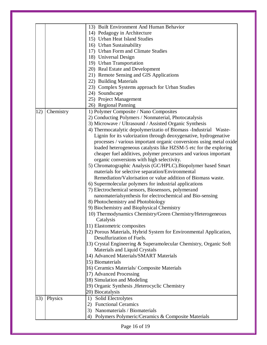| 14) Pedagogy in Architecture<br>15) Urban Heat Island Studies<br>16) Urban Sustainability<br>17) Urban Form and Climate Studies<br>18) Universal Design<br>19) Urban Transportation<br>20) Real Estate and Development<br>21) Remote Sensing and GIS Applications<br>22) Building Materials<br>23) Complex Systems approach for Urban Studies<br>24) Soundscape<br>25) Project Management<br>26) Regional Panning<br>1) Polymer Composite / Nano Composites<br>12)<br>Chemistry<br>2) Conducting Polymers / Nonmaterial, Photocatalysis<br>3) Microwave / Ultrasound / Assisted Organic Synthesis<br>4) Thermocatalytic depolymerizatio of Biomass -Industrial Waste-<br>Lignin for its valorization through deoxygenative, hydrogenative<br>processes / various important organic conversions using metal oxide<br>loaded heterogeneous catalysts like HZSM-5 etc for the exploring<br>cheaper fuel additives, polymer precursors and various important<br>organic conversions with high selectivity.<br>5) Chromatographic Analysis (GC/HPLC). Biopolymer based Smart<br>materials for selective separation/Environmental<br>Remediation/Valorisation or value addition of Biomass waste.<br>6) Supermolecular polymers for industrial applications<br>7) Electrochemical sensors, Biosensors, polymerand<br>nanomaterialsynthesis for electrochemical and Bio-sensing<br>8) Photochemistry and Photobiology<br>9) Biochemistry and Biophysical Chemistry<br>10) Thermodynamics Chemistry/Green Chemistry/Heterogeneous<br>Catalysis<br>11) Elastometric composites<br>12) Porous Materials, Hybrid System for Environmental Application,<br>Desulfurization of Fuels.<br>13) Crystal Engineering & Superamolecular Chemistry, Organic Soft<br>Materials and Liquid Crystals<br>14) Advanced Materials/SMART Materials<br>15) Biomaterials<br>16) Ceramics Materials/ Composite Materials<br>17) Advanced Processing<br>18) Simulation and Modeling<br>19) Organic Synthesis , Heterocyclic Chemistry<br>20) Biocatalysis<br>Physics<br>Solid Electrolytes<br>1)<br><b>Functional Ceramics</b><br>2)<br>Nanomaterials / Biomaterials<br>3)<br>Polymers Polymeric/Ceramics & Composite Materials<br>4) |     |                                          |  |  |  |
|---------------------------------------------------------------------------------------------------------------------------------------------------------------------------------------------------------------------------------------------------------------------------------------------------------------------------------------------------------------------------------------------------------------------------------------------------------------------------------------------------------------------------------------------------------------------------------------------------------------------------------------------------------------------------------------------------------------------------------------------------------------------------------------------------------------------------------------------------------------------------------------------------------------------------------------------------------------------------------------------------------------------------------------------------------------------------------------------------------------------------------------------------------------------------------------------------------------------------------------------------------------------------------------------------------------------------------------------------------------------------------------------------------------------------------------------------------------------------------------------------------------------------------------------------------------------------------------------------------------------------------------------------------------------------------------------------------------------------------------------------------------------------------------------------------------------------------------------------------------------------------------------------------------------------------------------------------------------------------------------------------------------------------------------------------------------------------------------------------------------------------------------------------------------------------------------------------|-----|------------------------------------------|--|--|--|
|                                                                                                                                                                                                                                                                                                                                                                                                                                                                                                                                                                                                                                                                                                                                                                                                                                                                                                                                                                                                                                                                                                                                                                                                                                                                                                                                                                                                                                                                                                                                                                                                                                                                                                                                                                                                                                                                                                                                                                                                                                                                                                                                                                                                         |     | 13) Built Environment And Human Behavior |  |  |  |
|                                                                                                                                                                                                                                                                                                                                                                                                                                                                                                                                                                                                                                                                                                                                                                                                                                                                                                                                                                                                                                                                                                                                                                                                                                                                                                                                                                                                                                                                                                                                                                                                                                                                                                                                                                                                                                                                                                                                                                                                                                                                                                                                                                                                         |     |                                          |  |  |  |
|                                                                                                                                                                                                                                                                                                                                                                                                                                                                                                                                                                                                                                                                                                                                                                                                                                                                                                                                                                                                                                                                                                                                                                                                                                                                                                                                                                                                                                                                                                                                                                                                                                                                                                                                                                                                                                                                                                                                                                                                                                                                                                                                                                                                         |     |                                          |  |  |  |
|                                                                                                                                                                                                                                                                                                                                                                                                                                                                                                                                                                                                                                                                                                                                                                                                                                                                                                                                                                                                                                                                                                                                                                                                                                                                                                                                                                                                                                                                                                                                                                                                                                                                                                                                                                                                                                                                                                                                                                                                                                                                                                                                                                                                         |     |                                          |  |  |  |
|                                                                                                                                                                                                                                                                                                                                                                                                                                                                                                                                                                                                                                                                                                                                                                                                                                                                                                                                                                                                                                                                                                                                                                                                                                                                                                                                                                                                                                                                                                                                                                                                                                                                                                                                                                                                                                                                                                                                                                                                                                                                                                                                                                                                         |     |                                          |  |  |  |
|                                                                                                                                                                                                                                                                                                                                                                                                                                                                                                                                                                                                                                                                                                                                                                                                                                                                                                                                                                                                                                                                                                                                                                                                                                                                                                                                                                                                                                                                                                                                                                                                                                                                                                                                                                                                                                                                                                                                                                                                                                                                                                                                                                                                         |     |                                          |  |  |  |
|                                                                                                                                                                                                                                                                                                                                                                                                                                                                                                                                                                                                                                                                                                                                                                                                                                                                                                                                                                                                                                                                                                                                                                                                                                                                                                                                                                                                                                                                                                                                                                                                                                                                                                                                                                                                                                                                                                                                                                                                                                                                                                                                                                                                         |     |                                          |  |  |  |
|                                                                                                                                                                                                                                                                                                                                                                                                                                                                                                                                                                                                                                                                                                                                                                                                                                                                                                                                                                                                                                                                                                                                                                                                                                                                                                                                                                                                                                                                                                                                                                                                                                                                                                                                                                                                                                                                                                                                                                                                                                                                                                                                                                                                         |     |                                          |  |  |  |
|                                                                                                                                                                                                                                                                                                                                                                                                                                                                                                                                                                                                                                                                                                                                                                                                                                                                                                                                                                                                                                                                                                                                                                                                                                                                                                                                                                                                                                                                                                                                                                                                                                                                                                                                                                                                                                                                                                                                                                                                                                                                                                                                                                                                         |     |                                          |  |  |  |
|                                                                                                                                                                                                                                                                                                                                                                                                                                                                                                                                                                                                                                                                                                                                                                                                                                                                                                                                                                                                                                                                                                                                                                                                                                                                                                                                                                                                                                                                                                                                                                                                                                                                                                                                                                                                                                                                                                                                                                                                                                                                                                                                                                                                         |     |                                          |  |  |  |
|                                                                                                                                                                                                                                                                                                                                                                                                                                                                                                                                                                                                                                                                                                                                                                                                                                                                                                                                                                                                                                                                                                                                                                                                                                                                                                                                                                                                                                                                                                                                                                                                                                                                                                                                                                                                                                                                                                                                                                                                                                                                                                                                                                                                         |     |                                          |  |  |  |
|                                                                                                                                                                                                                                                                                                                                                                                                                                                                                                                                                                                                                                                                                                                                                                                                                                                                                                                                                                                                                                                                                                                                                                                                                                                                                                                                                                                                                                                                                                                                                                                                                                                                                                                                                                                                                                                                                                                                                                                                                                                                                                                                                                                                         |     |                                          |  |  |  |
|                                                                                                                                                                                                                                                                                                                                                                                                                                                                                                                                                                                                                                                                                                                                                                                                                                                                                                                                                                                                                                                                                                                                                                                                                                                                                                                                                                                                                                                                                                                                                                                                                                                                                                                                                                                                                                                                                                                                                                                                                                                                                                                                                                                                         |     |                                          |  |  |  |
|                                                                                                                                                                                                                                                                                                                                                                                                                                                                                                                                                                                                                                                                                                                                                                                                                                                                                                                                                                                                                                                                                                                                                                                                                                                                                                                                                                                                                                                                                                                                                                                                                                                                                                                                                                                                                                                                                                                                                                                                                                                                                                                                                                                                         |     |                                          |  |  |  |
|                                                                                                                                                                                                                                                                                                                                                                                                                                                                                                                                                                                                                                                                                                                                                                                                                                                                                                                                                                                                                                                                                                                                                                                                                                                                                                                                                                                                                                                                                                                                                                                                                                                                                                                                                                                                                                                                                                                                                                                                                                                                                                                                                                                                         |     |                                          |  |  |  |
|                                                                                                                                                                                                                                                                                                                                                                                                                                                                                                                                                                                                                                                                                                                                                                                                                                                                                                                                                                                                                                                                                                                                                                                                                                                                                                                                                                                                                                                                                                                                                                                                                                                                                                                                                                                                                                                                                                                                                                                                                                                                                                                                                                                                         |     |                                          |  |  |  |
|                                                                                                                                                                                                                                                                                                                                                                                                                                                                                                                                                                                                                                                                                                                                                                                                                                                                                                                                                                                                                                                                                                                                                                                                                                                                                                                                                                                                                                                                                                                                                                                                                                                                                                                                                                                                                                                                                                                                                                                                                                                                                                                                                                                                         |     |                                          |  |  |  |
|                                                                                                                                                                                                                                                                                                                                                                                                                                                                                                                                                                                                                                                                                                                                                                                                                                                                                                                                                                                                                                                                                                                                                                                                                                                                                                                                                                                                                                                                                                                                                                                                                                                                                                                                                                                                                                                                                                                                                                                                                                                                                                                                                                                                         |     |                                          |  |  |  |
|                                                                                                                                                                                                                                                                                                                                                                                                                                                                                                                                                                                                                                                                                                                                                                                                                                                                                                                                                                                                                                                                                                                                                                                                                                                                                                                                                                                                                                                                                                                                                                                                                                                                                                                                                                                                                                                                                                                                                                                                                                                                                                                                                                                                         |     |                                          |  |  |  |
|                                                                                                                                                                                                                                                                                                                                                                                                                                                                                                                                                                                                                                                                                                                                                                                                                                                                                                                                                                                                                                                                                                                                                                                                                                                                                                                                                                                                                                                                                                                                                                                                                                                                                                                                                                                                                                                                                                                                                                                                                                                                                                                                                                                                         |     |                                          |  |  |  |
|                                                                                                                                                                                                                                                                                                                                                                                                                                                                                                                                                                                                                                                                                                                                                                                                                                                                                                                                                                                                                                                                                                                                                                                                                                                                                                                                                                                                                                                                                                                                                                                                                                                                                                                                                                                                                                                                                                                                                                                                                                                                                                                                                                                                         |     |                                          |  |  |  |
|                                                                                                                                                                                                                                                                                                                                                                                                                                                                                                                                                                                                                                                                                                                                                                                                                                                                                                                                                                                                                                                                                                                                                                                                                                                                                                                                                                                                                                                                                                                                                                                                                                                                                                                                                                                                                                                                                                                                                                                                                                                                                                                                                                                                         |     |                                          |  |  |  |
|                                                                                                                                                                                                                                                                                                                                                                                                                                                                                                                                                                                                                                                                                                                                                                                                                                                                                                                                                                                                                                                                                                                                                                                                                                                                                                                                                                                                                                                                                                                                                                                                                                                                                                                                                                                                                                                                                                                                                                                                                                                                                                                                                                                                         |     |                                          |  |  |  |
|                                                                                                                                                                                                                                                                                                                                                                                                                                                                                                                                                                                                                                                                                                                                                                                                                                                                                                                                                                                                                                                                                                                                                                                                                                                                                                                                                                                                                                                                                                                                                                                                                                                                                                                                                                                                                                                                                                                                                                                                                                                                                                                                                                                                         |     |                                          |  |  |  |
|                                                                                                                                                                                                                                                                                                                                                                                                                                                                                                                                                                                                                                                                                                                                                                                                                                                                                                                                                                                                                                                                                                                                                                                                                                                                                                                                                                                                                                                                                                                                                                                                                                                                                                                                                                                                                                                                                                                                                                                                                                                                                                                                                                                                         |     |                                          |  |  |  |
|                                                                                                                                                                                                                                                                                                                                                                                                                                                                                                                                                                                                                                                                                                                                                                                                                                                                                                                                                                                                                                                                                                                                                                                                                                                                                                                                                                                                                                                                                                                                                                                                                                                                                                                                                                                                                                                                                                                                                                                                                                                                                                                                                                                                         |     |                                          |  |  |  |
|                                                                                                                                                                                                                                                                                                                                                                                                                                                                                                                                                                                                                                                                                                                                                                                                                                                                                                                                                                                                                                                                                                                                                                                                                                                                                                                                                                                                                                                                                                                                                                                                                                                                                                                                                                                                                                                                                                                                                                                                                                                                                                                                                                                                         |     |                                          |  |  |  |
|                                                                                                                                                                                                                                                                                                                                                                                                                                                                                                                                                                                                                                                                                                                                                                                                                                                                                                                                                                                                                                                                                                                                                                                                                                                                                                                                                                                                                                                                                                                                                                                                                                                                                                                                                                                                                                                                                                                                                                                                                                                                                                                                                                                                         |     |                                          |  |  |  |
|                                                                                                                                                                                                                                                                                                                                                                                                                                                                                                                                                                                                                                                                                                                                                                                                                                                                                                                                                                                                                                                                                                                                                                                                                                                                                                                                                                                                                                                                                                                                                                                                                                                                                                                                                                                                                                                                                                                                                                                                                                                                                                                                                                                                         |     |                                          |  |  |  |
|                                                                                                                                                                                                                                                                                                                                                                                                                                                                                                                                                                                                                                                                                                                                                                                                                                                                                                                                                                                                                                                                                                                                                                                                                                                                                                                                                                                                                                                                                                                                                                                                                                                                                                                                                                                                                                                                                                                                                                                                                                                                                                                                                                                                         |     |                                          |  |  |  |
|                                                                                                                                                                                                                                                                                                                                                                                                                                                                                                                                                                                                                                                                                                                                                                                                                                                                                                                                                                                                                                                                                                                                                                                                                                                                                                                                                                                                                                                                                                                                                                                                                                                                                                                                                                                                                                                                                                                                                                                                                                                                                                                                                                                                         |     |                                          |  |  |  |
|                                                                                                                                                                                                                                                                                                                                                                                                                                                                                                                                                                                                                                                                                                                                                                                                                                                                                                                                                                                                                                                                                                                                                                                                                                                                                                                                                                                                                                                                                                                                                                                                                                                                                                                                                                                                                                                                                                                                                                                                                                                                                                                                                                                                         |     |                                          |  |  |  |
|                                                                                                                                                                                                                                                                                                                                                                                                                                                                                                                                                                                                                                                                                                                                                                                                                                                                                                                                                                                                                                                                                                                                                                                                                                                                                                                                                                                                                                                                                                                                                                                                                                                                                                                                                                                                                                                                                                                                                                                                                                                                                                                                                                                                         |     |                                          |  |  |  |
|                                                                                                                                                                                                                                                                                                                                                                                                                                                                                                                                                                                                                                                                                                                                                                                                                                                                                                                                                                                                                                                                                                                                                                                                                                                                                                                                                                                                                                                                                                                                                                                                                                                                                                                                                                                                                                                                                                                                                                                                                                                                                                                                                                                                         |     |                                          |  |  |  |
|                                                                                                                                                                                                                                                                                                                                                                                                                                                                                                                                                                                                                                                                                                                                                                                                                                                                                                                                                                                                                                                                                                                                                                                                                                                                                                                                                                                                                                                                                                                                                                                                                                                                                                                                                                                                                                                                                                                                                                                                                                                                                                                                                                                                         |     |                                          |  |  |  |
|                                                                                                                                                                                                                                                                                                                                                                                                                                                                                                                                                                                                                                                                                                                                                                                                                                                                                                                                                                                                                                                                                                                                                                                                                                                                                                                                                                                                                                                                                                                                                                                                                                                                                                                                                                                                                                                                                                                                                                                                                                                                                                                                                                                                         |     |                                          |  |  |  |
|                                                                                                                                                                                                                                                                                                                                                                                                                                                                                                                                                                                                                                                                                                                                                                                                                                                                                                                                                                                                                                                                                                                                                                                                                                                                                                                                                                                                                                                                                                                                                                                                                                                                                                                                                                                                                                                                                                                                                                                                                                                                                                                                                                                                         |     |                                          |  |  |  |
|                                                                                                                                                                                                                                                                                                                                                                                                                                                                                                                                                                                                                                                                                                                                                                                                                                                                                                                                                                                                                                                                                                                                                                                                                                                                                                                                                                                                                                                                                                                                                                                                                                                                                                                                                                                                                                                                                                                                                                                                                                                                                                                                                                                                         |     |                                          |  |  |  |
|                                                                                                                                                                                                                                                                                                                                                                                                                                                                                                                                                                                                                                                                                                                                                                                                                                                                                                                                                                                                                                                                                                                                                                                                                                                                                                                                                                                                                                                                                                                                                                                                                                                                                                                                                                                                                                                                                                                                                                                                                                                                                                                                                                                                         |     |                                          |  |  |  |
|                                                                                                                                                                                                                                                                                                                                                                                                                                                                                                                                                                                                                                                                                                                                                                                                                                                                                                                                                                                                                                                                                                                                                                                                                                                                                                                                                                                                                                                                                                                                                                                                                                                                                                                                                                                                                                                                                                                                                                                                                                                                                                                                                                                                         |     |                                          |  |  |  |
|                                                                                                                                                                                                                                                                                                                                                                                                                                                                                                                                                                                                                                                                                                                                                                                                                                                                                                                                                                                                                                                                                                                                                                                                                                                                                                                                                                                                                                                                                                                                                                                                                                                                                                                                                                                                                                                                                                                                                                                                                                                                                                                                                                                                         |     |                                          |  |  |  |
|                                                                                                                                                                                                                                                                                                                                                                                                                                                                                                                                                                                                                                                                                                                                                                                                                                                                                                                                                                                                                                                                                                                                                                                                                                                                                                                                                                                                                                                                                                                                                                                                                                                                                                                                                                                                                                                                                                                                                                                                                                                                                                                                                                                                         |     |                                          |  |  |  |
|                                                                                                                                                                                                                                                                                                                                                                                                                                                                                                                                                                                                                                                                                                                                                                                                                                                                                                                                                                                                                                                                                                                                                                                                                                                                                                                                                                                                                                                                                                                                                                                                                                                                                                                                                                                                                                                                                                                                                                                                                                                                                                                                                                                                         |     |                                          |  |  |  |
|                                                                                                                                                                                                                                                                                                                                                                                                                                                                                                                                                                                                                                                                                                                                                                                                                                                                                                                                                                                                                                                                                                                                                                                                                                                                                                                                                                                                                                                                                                                                                                                                                                                                                                                                                                                                                                                                                                                                                                                                                                                                                                                                                                                                         |     |                                          |  |  |  |
|                                                                                                                                                                                                                                                                                                                                                                                                                                                                                                                                                                                                                                                                                                                                                                                                                                                                                                                                                                                                                                                                                                                                                                                                                                                                                                                                                                                                                                                                                                                                                                                                                                                                                                                                                                                                                                                                                                                                                                                                                                                                                                                                                                                                         |     |                                          |  |  |  |
|                                                                                                                                                                                                                                                                                                                                                                                                                                                                                                                                                                                                                                                                                                                                                                                                                                                                                                                                                                                                                                                                                                                                                                                                                                                                                                                                                                                                                                                                                                                                                                                                                                                                                                                                                                                                                                                                                                                                                                                                                                                                                                                                                                                                         |     |                                          |  |  |  |
|                                                                                                                                                                                                                                                                                                                                                                                                                                                                                                                                                                                                                                                                                                                                                                                                                                                                                                                                                                                                                                                                                                                                                                                                                                                                                                                                                                                                                                                                                                                                                                                                                                                                                                                                                                                                                                                                                                                                                                                                                                                                                                                                                                                                         |     |                                          |  |  |  |
|                                                                                                                                                                                                                                                                                                                                                                                                                                                                                                                                                                                                                                                                                                                                                                                                                                                                                                                                                                                                                                                                                                                                                                                                                                                                                                                                                                                                                                                                                                                                                                                                                                                                                                                                                                                                                                                                                                                                                                                                                                                                                                                                                                                                         | 13) |                                          |  |  |  |
|                                                                                                                                                                                                                                                                                                                                                                                                                                                                                                                                                                                                                                                                                                                                                                                                                                                                                                                                                                                                                                                                                                                                                                                                                                                                                                                                                                                                                                                                                                                                                                                                                                                                                                                                                                                                                                                                                                                                                                                                                                                                                                                                                                                                         |     |                                          |  |  |  |
|                                                                                                                                                                                                                                                                                                                                                                                                                                                                                                                                                                                                                                                                                                                                                                                                                                                                                                                                                                                                                                                                                                                                                                                                                                                                                                                                                                                                                                                                                                                                                                                                                                                                                                                                                                                                                                                                                                                                                                                                                                                                                                                                                                                                         |     |                                          |  |  |  |
|                                                                                                                                                                                                                                                                                                                                                                                                                                                                                                                                                                                                                                                                                                                                                                                                                                                                                                                                                                                                                                                                                                                                                                                                                                                                                                                                                                                                                                                                                                                                                                                                                                                                                                                                                                                                                                                                                                                                                                                                                                                                                                                                                                                                         |     |                                          |  |  |  |

Page 16 of 19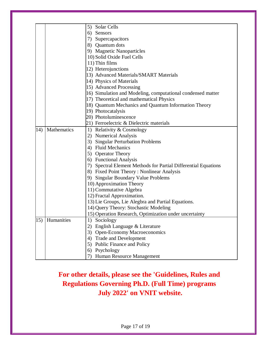|     |                                     | 5) Solar Cells                                                 |  |  |  |
|-----|-------------------------------------|----------------------------------------------------------------|--|--|--|
|     |                                     | 6) Sensors                                                     |  |  |  |
|     |                                     | 7) Supercapacitors                                             |  |  |  |
|     |                                     | 8) Quantum dots                                                |  |  |  |
|     |                                     | 9) Magnetic Nanoparticles                                      |  |  |  |
|     |                                     | 10) Solid Oxide Fuel Cells                                     |  |  |  |
|     |                                     | 11) Thin films                                                 |  |  |  |
|     |                                     | 12) Heterojunctions                                            |  |  |  |
|     |                                     | 13) Advanced Materials/SMART Materials                         |  |  |  |
|     |                                     | 14) Physics of Materials                                       |  |  |  |
|     |                                     | 15) Advanced Processing                                        |  |  |  |
|     |                                     | 16) Simulation and Modeling, computational condensed matter    |  |  |  |
|     |                                     | 17) Theoretical and mathematical Physics                       |  |  |  |
|     |                                     | 18) Quantum Mechanics and Quantum Information Theory           |  |  |  |
|     |                                     | 19) Photocatalysis                                             |  |  |  |
|     |                                     | 20) Photoluminescence                                          |  |  |  |
|     |                                     | 21) Ferroelectric & Dielectric materials                       |  |  |  |
| 14) | Mathematics                         | 1) Relativity & Cosmology                                      |  |  |  |
|     |                                     | 2) Numerical Analysis                                          |  |  |  |
|     |                                     | 3) Singular Perturbation Problems                              |  |  |  |
|     |                                     | 4) Fluid Mechanics                                             |  |  |  |
|     |                                     | 5) Operator Theory                                             |  |  |  |
|     |                                     | 6) Functional Analysis                                         |  |  |  |
|     |                                     | 7) Spectral Element Methods for Partial Differential Equations |  |  |  |
|     |                                     | 8) Fixed Point Theory: Nonlinear Analysis                      |  |  |  |
|     |                                     | 9) Singular Boundary Value Problems                            |  |  |  |
|     |                                     | 10) Approximation Theory                                       |  |  |  |
|     |                                     | 11) Commutative Algebra                                        |  |  |  |
|     |                                     | 12) Fractal Approximation.                                     |  |  |  |
|     |                                     | 13) Lie Groups, Lie Alegbra and Partial Equations.             |  |  |  |
|     |                                     | 14) Query Theory: Stochastic Modeling                          |  |  |  |
|     |                                     | 15) Operation Research, Optimization under uncertainty         |  |  |  |
| 15) | Humanities                          | Sociology<br>1)                                                |  |  |  |
|     | English Language & Literature<br>2) |                                                                |  |  |  |
|     |                                     | <b>Open-Economy Macroeconomics</b><br>3)                       |  |  |  |
|     |                                     | <b>Trade and Development</b><br>4)                             |  |  |  |
|     |                                     | Public Finance and Policy<br>5)                                |  |  |  |
|     |                                     | Psychology<br>6)                                               |  |  |  |
|     |                                     | Human Resource Management<br>7)                                |  |  |  |

# **For other details, please see the 'Guidelines, Rules and Regulations Governing Ph.D. (Full Time) programs July 2022' on VNIT website.**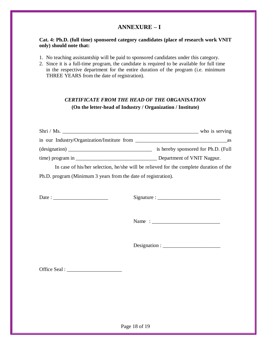## **ANNEXURE – I**

#### **Cat. 4: Ph.D. (full time) sponsored category candidates (place of research work VNIT only) should note that:**

- 1. No teaching assistantship will be paid to sponsored candidates under this category.
- 2. Since it is a full-time program, the candidate is required to be available for full time in the respective department for the entire duration of the program (i.e. minimum THREE YEARS from the date of registration).

## *CERTIFICATE FROM THE HEAD OF THE ORGANISATION* **(On the letter-head of Industry / Organization / Institute)**

| $\text{Shri} \, / \, \text{Ms}.$                                                       | who is serving                      |  |  |
|----------------------------------------------------------------------------------------|-------------------------------------|--|--|
|                                                                                        | as                                  |  |  |
| $\frac{1}{2}$ (designation)                                                            | is hereby sponsored for Ph.D. (Full |  |  |
|                                                                                        |                                     |  |  |
| In case of his/her selection, he/she will be relieved for the complete duration of the |                                     |  |  |
| Ph.D. program (Minimum 3 years from the date of registration).                         |                                     |  |  |
|                                                                                        |                                     |  |  |

Date : \_\_\_\_\_\_\_\_\_\_\_\_\_\_\_\_\_\_\_\_\_ Signature : \_\_\_\_\_\_\_\_\_\_\_\_\_\_\_\_\_\_\_\_\_\_\_\_

Name : \_\_\_\_\_\_\_\_\_\_\_\_\_\_\_\_\_\_\_\_\_\_\_\_\_\_

Designation : \_\_\_\_\_\_\_\_\_\_\_\_\_\_\_\_\_\_\_\_\_\_

Office Seal : \_\_\_\_\_\_\_\_\_\_\_\_\_\_\_\_\_\_\_\_\_